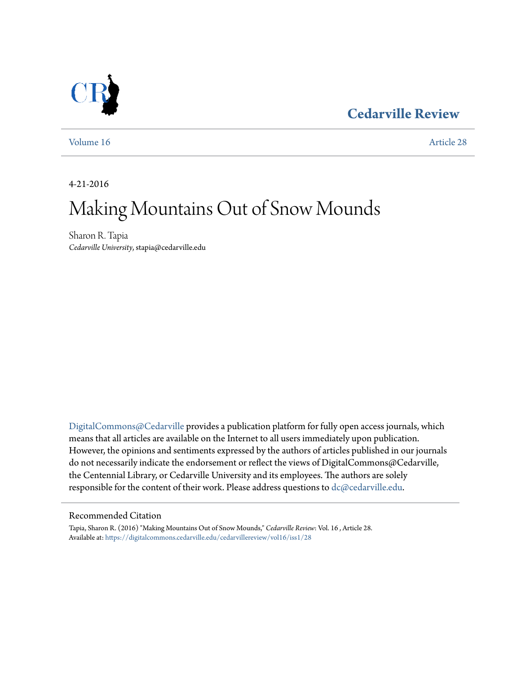### **[Cedarville Review](https://digitalcommons.cedarville.edu/cedarvillereview?utm_source=digitalcommons.cedarville.edu%2Fcedarvillereview%2Fvol16%2Fiss1%2F28&utm_medium=PDF&utm_campaign=PDFCoverPages)**



[Volume 16](https://digitalcommons.cedarville.edu/cedarvillereview/vol16?utm_source=digitalcommons.cedarville.edu%2Fcedarvillereview%2Fvol16%2Fiss1%2F28&utm_medium=PDF&utm_campaign=PDFCoverPages) [Article 28](https://digitalcommons.cedarville.edu/cedarvillereview/vol16/iss1/28?utm_source=digitalcommons.cedarville.edu%2Fcedarvillereview%2Fvol16%2Fiss1%2F28&utm_medium=PDF&utm_campaign=PDFCoverPages)

4-21-2016

# Making Mountains Out of Snow Mounds

Sharon R. Tapia *Cedarville University*, stapia@cedarville.edu

[DigitalCommons@Cedarville](http://digitalcommons.cedarville.edu) provides a publication platform for fully open access journals, which means that all articles are available on the Internet to all users immediately upon publication. However, the opinions and sentiments expressed by the authors of articles published in our journals do not necessarily indicate the endorsement or reflect the views of DigitalCommons@Cedarville, the Centennial Library, or Cedarville University and its employees. The authors are solely responsible for the content of their work. Please address questions to  $dc@cedarville.edu$ .

#### Recommended Citation

Tapia, Sharon R. (2016) "Making Mountains Out of Snow Mounds," *Cedarville Review*: Vol. 16 , Article 28. Available at: [https://digitalcommons.cedarville.edu/cedarvillereview/vol16/iss1/28](https://digitalcommons.cedarville.edu/cedarvillereview/vol16/iss1/28?utm_source=digitalcommons.cedarville.edu%2Fcedarvillereview%2Fvol16%2Fiss1%2F28&utm_medium=PDF&utm_campaign=PDFCoverPages)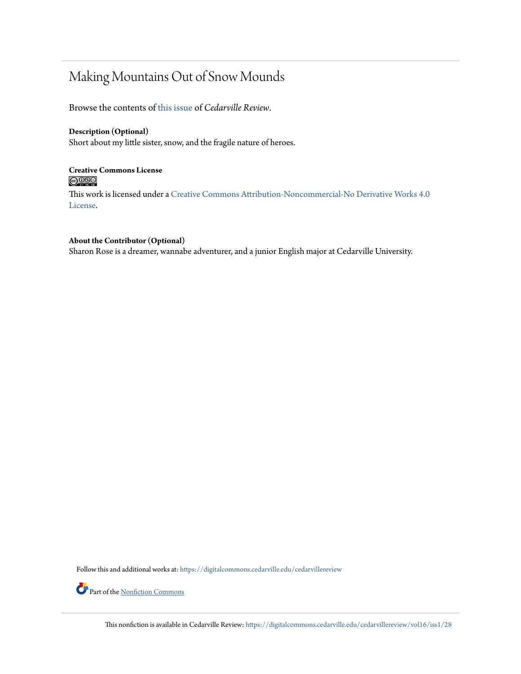### Making Mountains Out of Snow Mounds

Browse the contents of [this issue](https://digitalcommons.cedarville.edu/cedarvillereview/vol16/iss1) of *Cedarville Review*.

#### **Description (Optional)**

Short about my little sister, snow, and the fragile nature of heroes.

#### **Creative Commons License**  $\bigcirc$   $\circ$

This work is licensed under a [Creative Commons Attribution-Noncommercial-No Derivative Works 4.0](http://creativecommons.org/licenses/by-nc-nd/4.0/) [License.](http://creativecommons.org/licenses/by-nc-nd/4.0/)

#### **About the Contributor (Optional)**

Sharon Rose is a dreamer, wannabe adventurer, and a junior English major at Cedarville University.

Follow this and additional works at: [https://digitalcommons.cedarville.edu/cedarvillereview](https://digitalcommons.cedarville.edu/cedarvillereview?utm_source=digitalcommons.cedarville.edu%2Fcedarvillereview%2Fvol16%2Fiss1%2F28&utm_medium=PDF&utm_campaign=PDFCoverPages)



This nonfiction is available in Cedarville Review: [https://digitalcommons.cedarville.edu/cedarvillereview/vol16/iss1/28](https://digitalcommons.cedarville.edu/cedarvillereview/vol16/iss1/28?utm_source=digitalcommons.cedarville.edu%2Fcedarvillereview%2Fvol16%2Fiss1%2F28&utm_medium=PDF&utm_campaign=PDFCoverPages)